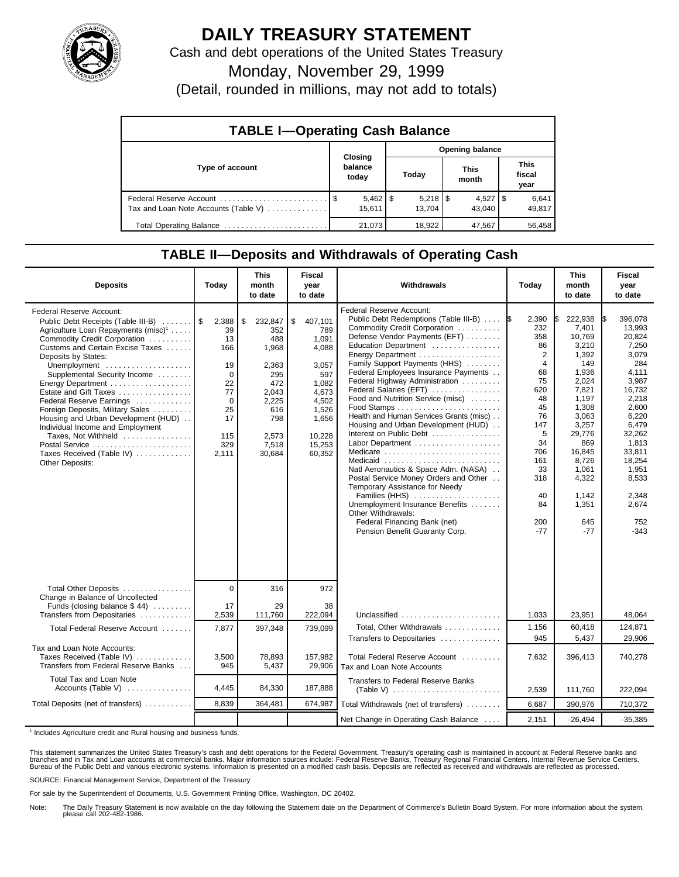

## **DAILY TREASURY STATEMENT**

Cash and debt operations of the United States Treasury

Monday, November 29, 1999

(Detail, rounded in millions, may not add to totals)

| <b>TABLE I-Operating Cash Balance</b> |         |                        |                 |                      |  |                        |  |                        |  |
|---------------------------------------|---------|------------------------|-----------------|----------------------|--|------------------------|--|------------------------|--|
|                                       | Closing |                        | Opening balance |                      |  |                        |  |                        |  |
| Type of account                       |         | balance<br>today       |                 | Today                |  | This<br>month          |  | This<br>fiscal<br>year |  |
| Tax and Loan Note Accounts (Table V)  |         | $5,462$   \$<br>15.611 |                 | $5,218$ \$<br>13.704 |  | $4,527$   \$<br>43.040 |  | 6,641<br>49,817        |  |
| Total Operating Balance               |         | 21.073                 |                 | 18.922               |  | 47,567                 |  | 56,458                 |  |

## **TABLE II—Deposits and Withdrawals of Operating Cash**

| <b>Deposits</b>                                                                                                                                                                                                                                                                                                                                                                                                                                                                                                                                | Today                                                                                                    | <b>This</b><br>month<br>to date                                                                                         | <b>Fiscal</b><br>year<br>to date                                                                                                  | Withdrawals                                                                                                                                                                                                                                                                                                                                                                                                                                                                                                                                                                                                                                                                                                                                                                               | Today                                                                                                                                                                 | <b>This</b><br>month<br>to date                                                                                                                                                                            | <b>Fiscal</b><br>year<br>to date                                                                                                                                                                                      |
|------------------------------------------------------------------------------------------------------------------------------------------------------------------------------------------------------------------------------------------------------------------------------------------------------------------------------------------------------------------------------------------------------------------------------------------------------------------------------------------------------------------------------------------------|----------------------------------------------------------------------------------------------------------|-------------------------------------------------------------------------------------------------------------------------|-----------------------------------------------------------------------------------------------------------------------------------|-------------------------------------------------------------------------------------------------------------------------------------------------------------------------------------------------------------------------------------------------------------------------------------------------------------------------------------------------------------------------------------------------------------------------------------------------------------------------------------------------------------------------------------------------------------------------------------------------------------------------------------------------------------------------------------------------------------------------------------------------------------------------------------------|-----------------------------------------------------------------------------------------------------------------------------------------------------------------------|------------------------------------------------------------------------------------------------------------------------------------------------------------------------------------------------------------|-----------------------------------------------------------------------------------------------------------------------------------------------------------------------------------------------------------------------|
| Federal Reserve Account:<br>Public Debt Receipts (Table III-B)<br>Agriculture Loan Repayments (misc) <sup>1</sup><br>Commodity Credit Corporation<br>Customs and Certain Excise Taxes<br>Deposits by States:<br>Unemployment<br>Supplemental Security Income<br>Energy Department<br>Estate and Gift Taxes<br>Federal Reserve Earnings<br>Foreign Deposits, Military Sales<br>Housing and Urban Development (HUD)<br>Individual Income and Employment<br>Taxes, Not Withheld<br>Postal Service<br>Taxes Received (Table IV)<br>Other Deposits: | 2,388<br>39<br>13<br>166<br>19<br>$\mathbf 0$<br>22<br>77<br>$\Omega$<br>25<br>17<br>115<br>329<br>2.111 | \$<br>232,847<br>352<br>488<br>1,968<br>2,363<br>295<br>472<br>2,043<br>2,225<br>616<br>798<br>2,573<br>7,518<br>30,684 | \$<br>407,101<br>789<br>1,091<br>4,088<br>3,057<br>597<br>1,082<br>4,673<br>4,502<br>1,526<br>1,656<br>10,228<br>15,253<br>60,352 | <b>Federal Reserve Account:</b><br>Public Debt Redemptions (Table III-B)<br>Commodity Credit Corporation<br>Defense Vendor Payments (EFT)<br>Education Department<br>Energy Department<br>Family Support Payments (HHS)<br>Federal Employees Insurance Payments<br>Federal Highway Administration<br>Federal Salaries (EFT)<br>Food and Nutrition Service (misc)<br>Health and Human Services Grants (misc)<br>Housing and Urban Development (HUD)<br>Interest on Public Debt<br>Labor Department<br>Medicare<br>Medicaid<br>Natl Aeronautics & Space Adm. (NASA)<br>Postal Service Money Orders and Other<br>Temporary Assistance for Needy<br>Families (HHS)<br>Unemployment Insurance Benefits<br>Other Withdrawals:<br>Federal Financing Bank (net)<br>Pension Benefit Guaranty Corp. | 2,390<br>1\$<br>232<br>358<br>86<br>$\overline{2}$<br>4<br>68<br>75<br>620<br>48<br>45<br>76<br>147<br>5<br>34<br>706<br>161<br>33<br>318<br>40<br>84<br>200<br>$-77$ | 222,938<br>7,401<br>10,769<br>3,210<br>1,392<br>149<br>1,936<br>2,024<br>7,821<br>1.197<br>1,308<br>3,063<br>3,257<br>29,776<br>869<br>16,845<br>8,726<br>1.061<br>4,322<br>1,142<br>1,351<br>645<br>$-77$ | 396.078<br>IS.<br>13.993<br>20.824<br>7,250<br>3,079<br>284<br>4.111<br>3,987<br>16,732<br>2.218<br>2,600<br>6,220<br>6,479<br>32.262<br>1,813<br>33,811<br>18,254<br>1.951<br>8,533<br>2,348<br>2,674<br>752<br>-343 |
| Total Other Deposits<br>Change in Balance of Uncollected                                                                                                                                                                                                                                                                                                                                                                                                                                                                                       | $\mathbf 0$                                                                                              | 316                                                                                                                     | 972                                                                                                                               |                                                                                                                                                                                                                                                                                                                                                                                                                                                                                                                                                                                                                                                                                                                                                                                           |                                                                                                                                                                       |                                                                                                                                                                                                            |                                                                                                                                                                                                                       |
| Funds (closing balance $$44$ )<br>Transfers from Depositaries                                                                                                                                                                                                                                                                                                                                                                                                                                                                                  | 17<br>2,539                                                                                              | 29<br>111,760                                                                                                           | 38<br>222,094                                                                                                                     | Unclassified                                                                                                                                                                                                                                                                                                                                                                                                                                                                                                                                                                                                                                                                                                                                                                              | 1,033                                                                                                                                                                 | 23,951                                                                                                                                                                                                     | 48,064                                                                                                                                                                                                                |
| Total Federal Reserve Account                                                                                                                                                                                                                                                                                                                                                                                                                                                                                                                  | 7,877                                                                                                    | 397,348                                                                                                                 | 739,099                                                                                                                           | Total, Other Withdrawals<br>Transfers to Depositaries                                                                                                                                                                                                                                                                                                                                                                                                                                                                                                                                                                                                                                                                                                                                     | 1,156<br>945                                                                                                                                                          | 60,418<br>5,437                                                                                                                                                                                            | 124,871<br>29,906                                                                                                                                                                                                     |
| Tax and Loan Note Accounts:<br>Taxes Received (Table IV)<br>Transfers from Federal Reserve Banks                                                                                                                                                                                                                                                                                                                                                                                                                                               | 3,500<br>945                                                                                             | 78,893<br>5,437                                                                                                         | 157,982<br>29,906                                                                                                                 | Total Federal Reserve Account<br>Tax and Loan Note Accounts                                                                                                                                                                                                                                                                                                                                                                                                                                                                                                                                                                                                                                                                                                                               | 7,632                                                                                                                                                                 | 396,413                                                                                                                                                                                                    | 740,278                                                                                                                                                                                                               |
| Total Tax and Loan Note<br>Accounts (Table V)                                                                                                                                                                                                                                                                                                                                                                                                                                                                                                  | 4,445                                                                                                    | 84,330                                                                                                                  | 187,888                                                                                                                           | Transfers to Federal Reserve Banks                                                                                                                                                                                                                                                                                                                                                                                                                                                                                                                                                                                                                                                                                                                                                        | 2,539                                                                                                                                                                 | 111,760                                                                                                                                                                                                    | 222,094                                                                                                                                                                                                               |
| Total Deposits (net of transfers)                                                                                                                                                                                                                                                                                                                                                                                                                                                                                                              | 8,839                                                                                                    | 364,481                                                                                                                 | 674,987                                                                                                                           | Total Withdrawals (net of transfers)                                                                                                                                                                                                                                                                                                                                                                                                                                                                                                                                                                                                                                                                                                                                                      | 6,687                                                                                                                                                                 | 390,976                                                                                                                                                                                                    | 710,372                                                                                                                                                                                                               |
|                                                                                                                                                                                                                                                                                                                                                                                                                                                                                                                                                |                                                                                                          |                                                                                                                         |                                                                                                                                   | Net Change in Operating Cash Balance                                                                                                                                                                                                                                                                                                                                                                                                                                                                                                                                                                                                                                                                                                                                                      | 2,151                                                                                                                                                                 | $-26,494$                                                                                                                                                                                                  | $-35,385$                                                                                                                                                                                                             |

<sup>1</sup> Includes Agriculture credit and Rural housing and business funds.

This statement summarizes the United States Treasury's cash and debt operations for the Federal Government. Treasury's operating cash is maintained in account at Federal Reserve banks and<br>branches and in Tax and Loan accou

SOURCE: Financial Management Service, Department of the Treasury

For sale by the Superintendent of Documents, U.S. Government Printing Office, Washington, DC 20402.

Note: The Daily Treasury Statement is now available on the day following the Statement date on the Department of Commerce's Bulletin Board System. For more information about the system, please call 202-482-1986.